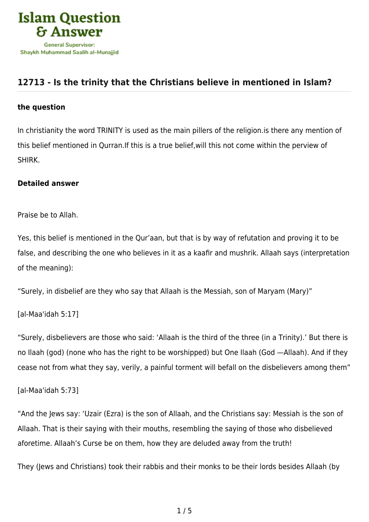

# **[12713 - Is the trinity that the Christians believe in mentioned in Islam?](https://islamqa.com/en/answers/12713/is-the-trinity-that-the-christians-believe-in-mentioned-in-islam)**

#### **the question**

In christianity the word TRINITY is used as the main pillers of the religion.is there any mention of this belief mentioned in Qurran.If this is a true belief,will this not come within the perview of SHIRK.

### **Detailed answer**

Praise be to Allah.

Yes, this belief is mentioned in the Qur'aan, but that is by way of refutation and proving it to be false, and describing the one who believes in it as a kaafir and mushrik. Allaah says (interpretation of the meaning):

"Surely, in disbelief are they who say that Allaah is the Messiah, son of Maryam (Mary)"

## [al-Maa'idah 5:17]

"Surely, disbelievers are those who said: 'Allaah is the third of the three (in a Trinity).' But there is no Ilaah (god) (none who has the right to be worshipped) but One Ilaah (God —Allaah). And if they cease not from what they say, verily, a painful torment will befall on the disbelievers among them"

#### [al-Maa'idah 5:73]

"And the Jews say: 'Uzair (Ezra) is the son of Allaah, and the Christians say: Messiah is the son of Allaah. That is their saying with their mouths, resembling the saying of those who disbelieved aforetime. Allaah's Curse be on them, how they are deluded away from the truth!

They (Jews and Christians) took their rabbis and their monks to be their lords besides Allaah (by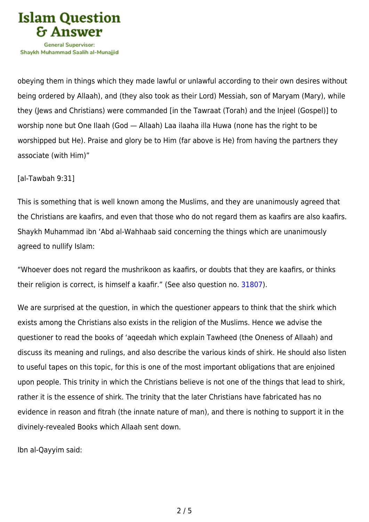

obeying them in things which they made lawful or unlawful according to their own desires without being ordered by Allaah), and (they also took as their Lord) Messiah, son of Maryam (Mary), while they (Jews and Christians) were commanded [in the Tawraat (Torah) and the Injeel (Gospel)] to worship none but One Ilaah (God — Allaah) Laa ilaaha illa Huwa (none has the right to be worshipped but He). Praise and glory be to Him (far above is He) from having the partners they associate (with Him)"

[al-Tawbah 9:31]

This is something that is well known among the Muslims, and they are unanimously agreed that the Christians are kaafirs, and even that those who do not regard them as kaafirs are also kaafirs. Shaykh Muhammad ibn 'Abd al-Wahhaab said concerning the things which are unanimously agreed to nullify Islam:

"Whoever does not regard the mushrikoon as kaafirs, or doubts that they are kaafirs, or thinks their religion is correct, is himself a kaafir." (See also question no. [31807\)](https://islamqa.com/en/answers/31807).

We are surprised at the question, in which the questioner appears to think that the shirk which exists among the Christians also exists in the religion of the Muslims. Hence we advise the questioner to read the books of 'aqeedah which explain Tawheed (the Oneness of Allaah) and discuss its meaning and rulings, and also describe the various kinds of shirk. He should also listen to useful tapes on this topic, for this is one of the most important obligations that are enjoined upon people. This trinity in which the Christians believe is not one of the things that lead to shirk, rather it is the essence of shirk. The trinity that the later Christians have fabricated has no evidence in reason and fitrah (the innate nature of man), and there is nothing to support it in the divinely-revealed Books which Allaah sent down.

Ibn al-Qayyim said: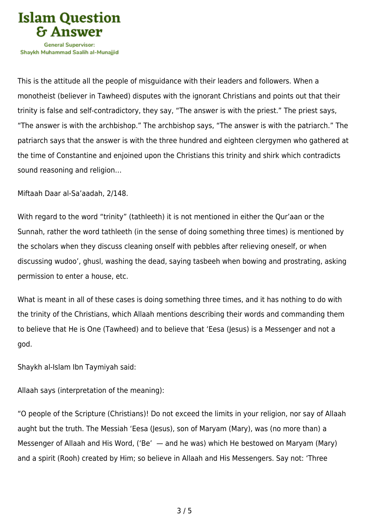

Shavkh Muhammad Saalih al-Munaiiid

This is the attitude all the people of misguidance with their leaders and followers. When a monotheist (believer in Tawheed) disputes with the ignorant Christians and points out that their trinity is false and self-contradictory, they say, "The answer is with the priest." The priest says, "The answer is with the archbishop." The archbishop says, "The answer is with the patriarch." The patriarch says that the answer is with the three hundred and eighteen clergymen who gathered at the time of Constantine and enjoined upon the Christians this trinity and shirk which contradicts sound reasoning and religion…

Miftaah Daar al-Sa'aadah, 2/148.

With regard to the word "trinity" (tathleeth) it is not mentioned in either the Qur'aan or the Sunnah, rather the word tathleeth (in the sense of doing something three times) is mentioned by the scholars when they discuss cleaning onself with pebbles after relieving oneself, or when discussing wudoo', ghusl, washing the dead, saying tasbeeh when bowing and prostrating, asking permission to enter a house, etc.

What is meant in all of these cases is doing something three times, and it has nothing to do with the trinity of the Christians, which Allaah mentions describing their words and commanding them to believe that He is One (Tawheed) and to believe that 'Eesa (Jesus) is a Messenger and not a god.

Shaykh al-Islam Ibn Taymiyah said:

Allaah says (interpretation of the meaning):

"O people of the Scripture (Christians)! Do not exceed the limits in your religion, nor say of Allaah aught but the truth. The Messiah 'Eesa (Jesus), son of Maryam (Mary), was (no more than) a Messenger of Allaah and His Word, ('Be' — and he was) which He bestowed on Maryam (Mary) and a spirit (Rooh) created by Him; so believe in Allaah and His Messengers. Say not: 'Three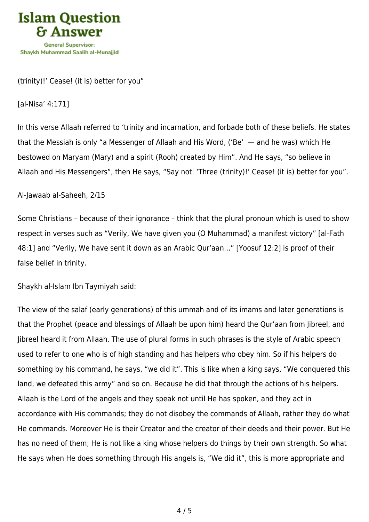

(trinity)!' Cease! (it is) better for you"

[al-Nisa' 4:171]

In this verse Allaah referred to 'trinity and incarnation, and forbade both of these beliefs. He states that the Messiah is only "a Messenger of Allaah and His Word, ('Be' — and he was) which He bestowed on Maryam (Mary) and a spirit (Rooh) created by Him". And He says, "so believe in Allaah and His Messengers", then He says, "Say not: 'Three (trinity)!' Cease! (it is) better for you".

Al-Jawaab al-Saheeh, 2/15

Some Christians – because of their ignorance – think that the plural pronoun which is used to show respect in verses such as "Verily, We have given you (O Muhammad) a manifest victory" [al-Fath 48:1] and "Verily, We have sent it down as an Arabic Qur'aan…" [Yoosuf 12:2] is proof of their false belief in trinity.

Shaykh al-Islam Ibn Taymiyah said:

The view of the salaf (early generations) of this ummah and of its imams and later generations is that the Prophet (peace and blessings of Allaah be upon him) heard the Qur'aan from Jibreel, and Jibreel heard it from Allaah. The use of plural forms in such phrases is the style of Arabic speech used to refer to one who is of high standing and has helpers who obey him. So if his helpers do something by his command, he says, "we did it". This is like when a king says, "We conquered this land, we defeated this army" and so on. Because he did that through the actions of his helpers. Allaah is the Lord of the angels and they speak not until He has spoken, and they act in accordance with His commands; they do not disobey the commands of Allaah, rather they do what He commands. Moreover He is their Creator and the creator of their deeds and their power. But He has no need of them; He is not like a king whose helpers do things by their own strength. So what He says when He does something through His angels is, "We did it", this is more appropriate and